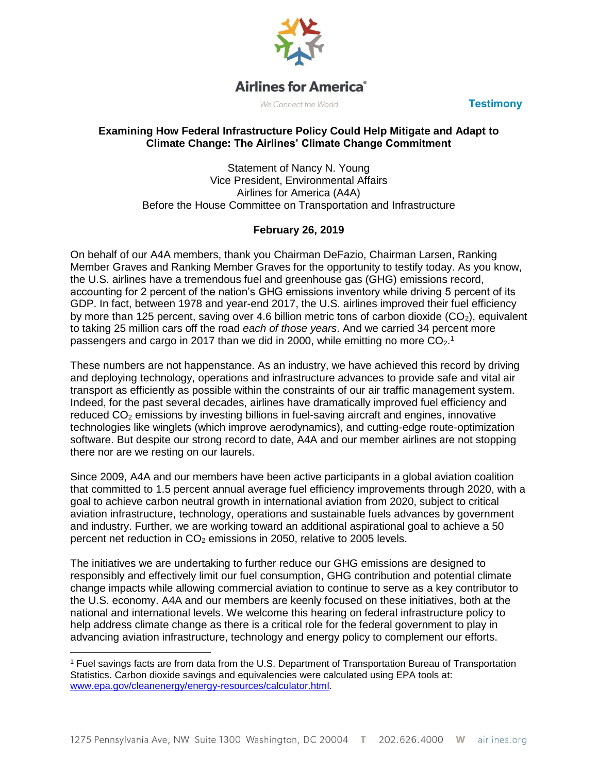

# **Airlines for America**®

We Connect the World **Testimony** 

#### **Examining How Federal Infrastructure Policy Could Help Mitigate and Adapt to Climate Change: The Airlines' Climate Change Commitment**

Statement of Nancy N. Young Vice President, Environmental Affairs Airlines for America (A4A) Before the House Committee on Transportation and Infrastructure

## **February 26, 2019**

On behalf of our A4A members, thank you Chairman DeFazio, Chairman Larsen, Ranking Member Graves and Ranking Member Graves for the opportunity to testify today. As you know, the U.S. airlines have a tremendous fuel and greenhouse gas (GHG) emissions record, accounting for 2 percent of the nation's GHG emissions inventory while driving 5 percent of its GDP. In fact, between 1978 and year-end 2017, the U.S. airlines improved their fuel efficiency by more than 125 percent, saving over 4.6 billion metric tons of carbon dioxide  $(CO<sub>2</sub>)$ , equivalent to taking 25 million cars off the road *each of those years*. And we carried 34 percent more passengers and cargo in 2017 than we did in 2000, while emitting no more  $CO<sub>2</sub>$ .<sup>1</sup>

These numbers are not happenstance. As an industry, we have achieved this record by driving and deploying technology, operations and infrastructure advances to provide safe and vital air transport as efficiently as possible within the constraints of our air traffic management system. Indeed, for the past several decades, airlines have dramatically improved fuel efficiency and reduced  $CO<sub>2</sub>$  emissions by investing billions in fuel-saving aircraft and engines, innovative technologies like winglets (which improve aerodynamics), and cutting-edge route-optimization software. But despite our strong record to date, A4A and our member airlines are not stopping there nor are we resting on our laurels.

Since 2009, A4A and our members have been active participants in a global aviation coalition that committed to 1.5 percent annual average fuel efficiency improvements through 2020, with a goal to achieve carbon neutral growth in international aviation from 2020, subject to critical aviation infrastructure, technology, operations and sustainable fuels advances by government and industry. Further, we are working toward an additional aspirational goal to achieve a 50 percent net reduction in  $CO<sub>2</sub>$  emissions in 2050, relative to 2005 levels.

The initiatives we are undertaking to further reduce our GHG emissions are designed to responsibly and effectively limit our fuel consumption, GHG contribution and potential climate change impacts while allowing commercial aviation to continue to serve as a key contributor to the U.S. economy. A4A and our members are keenly focused on these initiatives, both at the national and international levels. We welcome this hearing on federal infrastructure policy to help address climate change as there is a critical role for the federal government to play in advancing aviation infrastructure, technology and energy policy to complement our efforts.

 $\overline{a}$ <sup>1</sup> Fuel savings facts are from data from the U.S. Department of Transportation Bureau of Transportation Statistics. Carbon dioxide savings and equivalencies were calculated using EPA tools at: [www.epa.gov/cleanenergy/energy-resources/calculator.html.](http://www.epa.gov/cleanenergy/energy-resources/calculator.html)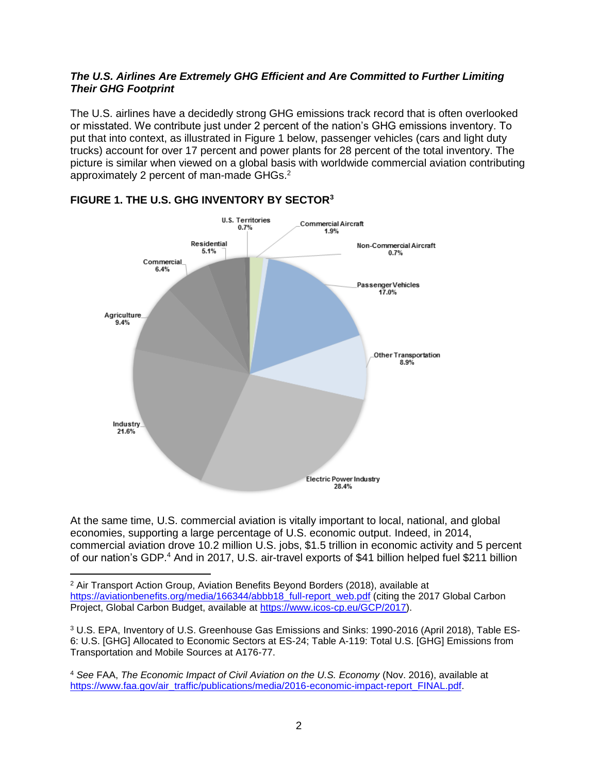#### *The U.S. Airlines Are Extremely GHG Efficient and Are Committed to Further Limiting Their GHG Footprint*

The U.S. airlines have a decidedly strong GHG emissions track record that is often overlooked or misstated. We contribute just under 2 percent of the nation's GHG emissions inventory. To put that into context, as illustrated in Figure 1 below, passenger vehicles (cars and light duty trucks) account for over 17 percent and power plants for 28 percent of the total inventory. The picture is similar when viewed on a global basis with worldwide commercial aviation contributing approximately 2 percent of man-made GHGs.<sup>2</sup>



### **FIGURE 1. THE U.S. GHG INVENTORY BY SECTOR<sup>3</sup>**

l

At the same time, U.S. commercial aviation is vitally important to local, national, and global economies, supporting a large percentage of U.S. economic output. Indeed, in 2014, commercial aviation drove 10.2 million U.S. jobs, \$1.5 trillion in economic activity and 5 percent of our nation's GDP.<sup>4</sup> And in 2017, U.S. air-travel exports of \$41 billion helped fuel \$211 billion

<sup>2</sup> Air Transport Action Group, Aviation Benefits Beyond Borders (2018), available at [https://aviationbenefits.org/media/166344/abbb18\\_full-report\\_web.pdf](https://aviationbenefits.org/media/166344/abbb18_full-report_web.pdf) (citing the 2017 Global Carbon Project, Global Carbon Budget, available at [https://www.icos-cp.eu/GCP/2017\)](https://www.icos-cp.eu/GCP/2017).

<sup>3</sup> U.S. EPA, Inventory of U.S. Greenhouse Gas Emissions and Sinks: 1990-2016 (April 2018), Table ES-6: U.S. [GHG] Allocated to Economic Sectors at ES-24; Table A-119: Total U.S. [GHG] Emissions from Transportation and Mobile Sources at A176-77.

<sup>4</sup> *See* FAA, *The Economic Impact of Civil Aviation on the U.S. Economy* (Nov. 2016), available at [https://www.faa.gov/air\\_traffic/publications/media/2016-economic-impact-report\\_FINAL.pdf.](https://www.faa.gov/air_traffic/publications/media/2016-economic-impact-report_FINAL.pdf)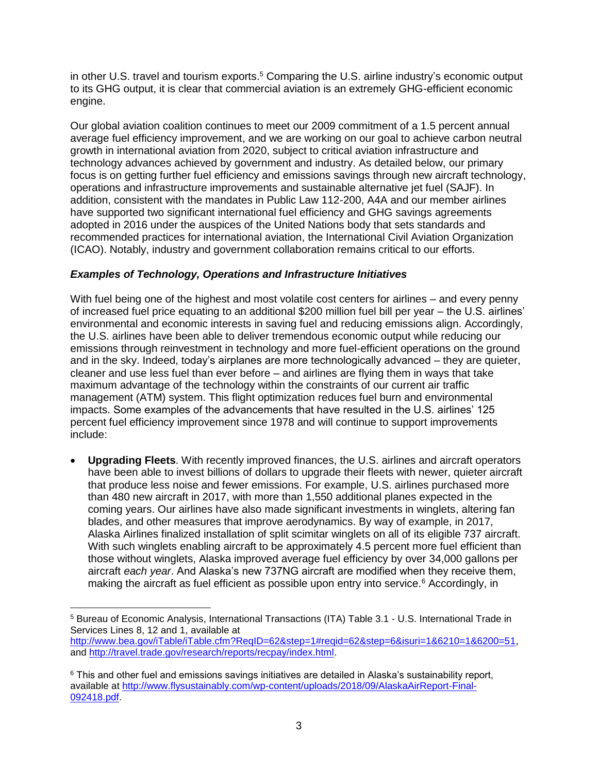in other U.S. travel and tourism exports. <sup>5</sup> Comparing the U.S. airline industry's economic output to its GHG output, it is clear that commercial aviation is an extremely GHG-efficient economic engine.

Our global aviation coalition continues to meet our 2009 commitment of a 1.5 percent annual average fuel efficiency improvement, and we are working on our goal to achieve carbon neutral growth in international aviation from 2020, subject to critical aviation infrastructure and technology advances achieved by government and industry. As detailed below, our primary focus is on getting further fuel efficiency and emissions savings through new aircraft technology, operations and infrastructure improvements and sustainable alternative jet fuel (SAJF). In addition, consistent with the mandates in Public Law 112-200, A4A and our member airlines have supported two significant international fuel efficiency and GHG savings agreements adopted in 2016 under the auspices of the United Nations body that sets standards and recommended practices for international aviation, the International Civil Aviation Organization (ICAO). Notably, industry and government collaboration remains critical to our efforts.

#### *Examples of Technology, Operations and Infrastructure Initiatives*

With fuel being one of the highest and most volatile cost centers for airlines – and every penny of increased fuel price equating to an additional \$200 million fuel bill per year – the U.S. airlines' environmental and economic interests in saving fuel and reducing emissions align. Accordingly, the U.S. airlines have been able to deliver tremendous economic output while reducing our emissions through reinvestment in technology and more fuel-efficient operations on the ground and in the sky. Indeed, today's airplanes are more technologically advanced – they are quieter, cleaner and use less fuel than ever before – and airlines are flying them in ways that take maximum advantage of the technology within the constraints of our current air traffic management (ATM) system. This flight optimization reduces fuel burn and environmental impacts. Some examples of the advancements that have resulted in the U.S. airlines' 125 percent fuel efficiency improvement since 1978 and will continue to support improvements include:

• **Upgrading Fleets**. With recently improved finances, the U.S. airlines and aircraft operators have been able to invest billions of dollars to upgrade their fleets with newer, quieter aircraft that produce less noise and fewer emissions. For example, U.S. airlines purchased more than 480 new aircraft in 2017, with more than 1,550 additional planes expected in the coming years. Our airlines have also made significant investments in winglets, altering fan blades, and other measures that improve aerodynamics. By way of example, in 2017, Alaska Airlines finalized installation of split scimitar winglets on all of its eligible 737 aircraft. With such winglets enabling aircraft to be approximately 4.5 percent more fuel efficient than those without winglets, Alaska improved average fuel efficiency by over 34,000 gallons per aircraft *each year*. And Alaska's new 737NG aircraft are modified when they receive them, making the aircraft as fuel efficient as possible upon entry into service.<sup>6</sup> Accordingly, in

 $\overline{a}$ 

<sup>5</sup> Bureau of Economic Analysis, International Transactions (ITA) Table 3.1 - U.S. International Trade in Services Lines 8, 12 and 1, available at

[http://www.bea.gov/iTable/iTable.cfm?ReqID=62&step=1#reqid=62&step=6&isuri=1&6210=1&6200=51,](http://www.bea.gov/iTable/iTable.cfm?ReqID=62&step=1#reqid=62&step=6&isuri=1&6210=1&6200=51) and [http://travel.trade.gov/research/reports/recpay/index.html.](http://travel.trade.gov/research/reports/recpay/index.html)

<sup>&</sup>lt;sup>6</sup> This and other fuel and emissions savings initiatives are detailed in Alaska's sustainability report, available at [http://www.flysustainably.com/wp-content/uploads/2018/09/AlaskaAirReport-Final-](http://www.flysustainably.com/wp-content/uploads/2018/09/AlaskaAirReport-Final-092418.pdf)[092418.pdf.](http://www.flysustainably.com/wp-content/uploads/2018/09/AlaskaAirReport-Final-092418.pdf)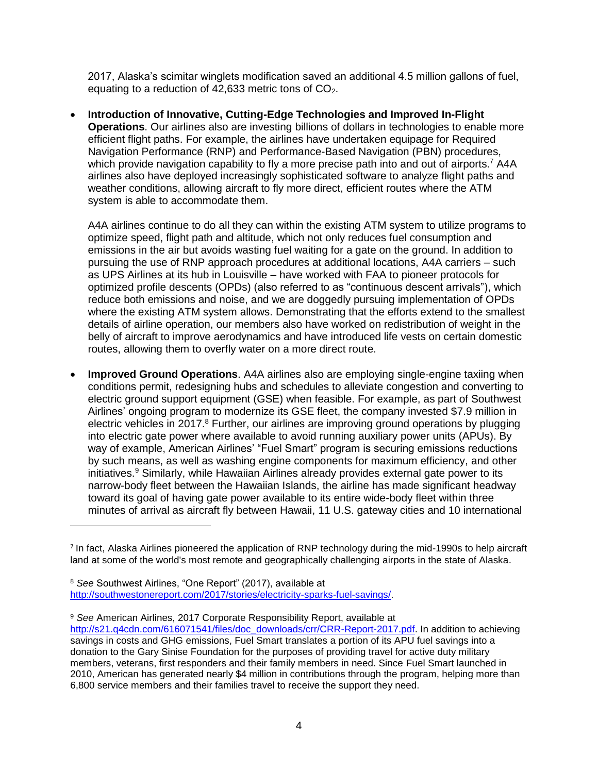2017, Alaska's scimitar winglets modification saved an additional 4.5 million gallons of fuel, equating to a reduction of 42,633 metric tons of  $CO<sub>2</sub>$ .

• **Introduction of Innovative, Cutting-Edge Technologies and Improved In-Flight Operations**. Our airlines also are investing billions of dollars in technologies to enable more efficient flight paths. For example, the airlines have undertaken equipage for Required Navigation Performance (RNP) and Performance-Based Navigation (PBN) procedures, which provide navigation capability to fly a more precise path into and out of airports.<sup>7</sup> A4A airlines also have deployed increasingly sophisticated software to analyze flight paths and weather conditions, allowing aircraft to fly more direct, efficient routes where the ATM system is able to accommodate them.

A4A airlines continue to do all they can within the existing ATM system to utilize programs to optimize speed, flight path and altitude, which not only reduces fuel consumption and emissions in the air but avoids wasting fuel waiting for a gate on the ground. In addition to pursuing the use of RNP approach procedures at additional locations, A4A carriers – such as UPS Airlines at its hub in Louisville – have worked with FAA to pioneer protocols for optimized profile descents (OPDs) (also referred to as "continuous descent arrivals"), which reduce both emissions and noise, and we are doggedly pursuing implementation of OPDs where the existing ATM system allows. Demonstrating that the efforts extend to the smallest details of airline operation, our members also have worked on redistribution of weight in the belly of aircraft to improve aerodynamics and have introduced life vests on certain domestic routes, allowing them to overfly water on a more direct route.

• **Improved Ground Operations**. A4A airlines also are employing single-engine taxiing when conditions permit, redesigning hubs and schedules to alleviate congestion and converting to electric ground support equipment (GSE) when feasible. For example, as part of Southwest Airlines' ongoing program to modernize its GSE fleet, the company invested \$7.9 million in electric vehicles in 2017.<sup>8</sup> Further, our airlines are improving ground operations by plugging into electric gate power where available to avoid running auxiliary power units (APUs). By way of example, American Airlines' "Fuel Smart" program is securing emissions reductions by such means, as well as washing engine components for maximum efficiency, and other initiatives. <sup>9</sup> Similarly, while Hawaiian Airlines already provides external gate power to its narrow-body fleet between the Hawaiian Islands, the airline has made significant headway toward its goal of having gate power available to its entire wide-body fleet within three minutes of arrival as aircraft fly between Hawaii, 11 U.S. gateway cities and 10 international

<sup>&</sup>lt;sup>7</sup> In fact, Alaska Airlines pioneered the application of RNP technology during the mid-1990s to help aircraft land at some of the world's most remote and geographically challenging airports in the state of Alaska.

<sup>8</sup> *See* Southwest Airlines, "One Report" (2017), available at [http://southwestonereport.com/2017/stories/electricity-sparks-fuel-savings/.](http://southwestonereport.com/2017/stories/electricity-sparks-fuel-savings/)

<sup>9</sup> *See* American Airlines, 2017 Corporate Responsibility Report, available at [http://s21.q4cdn.com/616071541/files/doc\\_downloads/crr/CRR-Report-2017.pdf.](http://s21.q4cdn.com/616071541/files/doc_downloads/crr/CRR-Report-2017.pdf) In addition to achieving savings in costs and GHG emissions, Fuel Smart translates a portion of its APU fuel savings into a donation to the Gary Sinise Foundation for the purposes of providing travel for active duty military members, veterans, first responders and their family members in need. Since Fuel Smart launched in 2010, American has generated nearly \$4 million in contributions through the program, helping more than 6,800 service members and their families travel to receive the support they need.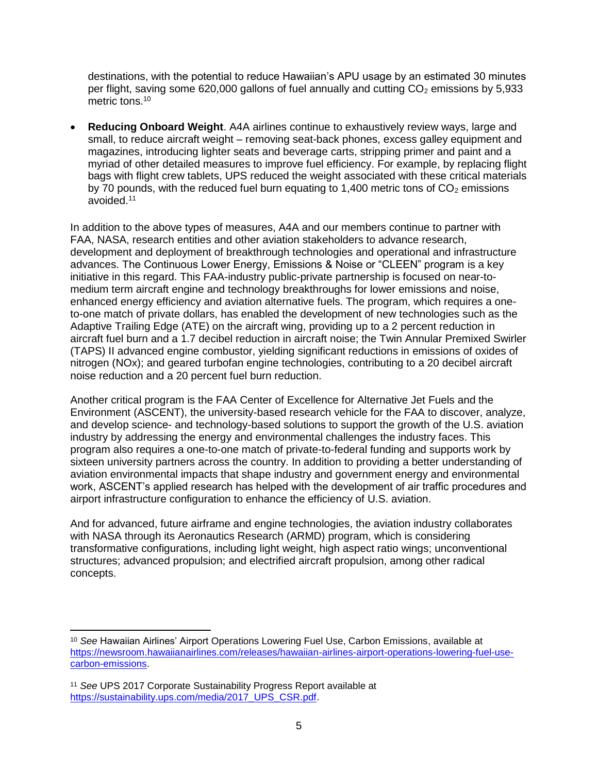destinations, with the potential to reduce Hawaiian's APU usage by an estimated 30 minutes per flight, saving some 620,000 gallons of fuel annually and cutting  $CO<sub>2</sub>$  emissions by 5,933 metric tons.<sup>10</sup>

• **Reducing Onboard Weight**. A4A airlines continue to exhaustively review ways, large and small, to reduce aircraft weight – removing seat-back phones, excess galley equipment and magazines, introducing lighter seats and beverage carts, stripping primer and paint and a myriad of other detailed measures to improve fuel efficiency. For example, by replacing flight bags with flight crew tablets, UPS reduced the weight associated with these critical materials by 70 pounds, with the reduced fuel burn equating to 1,400 metric tons of  $CO<sub>2</sub>$  emissions avoided.<sup>11</sup>

In addition to the above types of measures, A4A and our members continue to partner with FAA, NASA, research entities and other aviation stakeholders to advance research, development and deployment of breakthrough technologies and operational and infrastructure advances. The Continuous Lower Energy, Emissions & Noise or "CLEEN" program is a key initiative in this regard. This FAA-industry public-private partnership is focused on near-tomedium term aircraft engine and technology breakthroughs for lower emissions and noise, enhanced energy efficiency and aviation alternative fuels. The program, which requires a oneto-one match of private dollars, has enabled the development of new technologies such as the Adaptive Trailing Edge (ATE) on the aircraft wing, providing up to a 2 percent reduction in aircraft fuel burn and a 1.7 decibel reduction in aircraft noise; the Twin Annular Premixed Swirler (TAPS) II advanced engine combustor, yielding significant reductions in emissions of oxides of nitrogen (NOx); and geared turbofan engine technologies, contributing to a 20 decibel aircraft noise reduction and a 20 percent fuel burn reduction.

Another critical program is the FAA Center of Excellence for Alternative Jet Fuels and the Environment (ASCENT), the university-based research vehicle for the FAA to discover, analyze, and develop science- and technology-based solutions to support the growth of the U.S. aviation industry by addressing the energy and environmental challenges the industry faces. This program also requires a one-to-one match of private-to-federal funding and supports work by sixteen university partners across the country. In addition to providing a better understanding of aviation environmental impacts that shape industry and government energy and environmental work, ASCENT's applied research has helped with the development of air traffic procedures and airport infrastructure configuration to enhance the efficiency of U.S. aviation.

And for advanced, future airframe and engine technologies, the aviation industry collaborates with NASA through its Aeronautics Research (ARMD) program, which is considering transformative configurations, including light weight, high aspect ratio wings; unconventional structures; advanced propulsion; and electrified aircraft propulsion, among other radical concepts.

<sup>10</sup> *See* Hawaiian Airlines' Airport Operations Lowering Fuel Use, Carbon Emissions, available at [https://newsroom.hawaiianairlines.com/releases/hawaiian-airlines-airport-operations-lowering-fuel-use](https://newsroom.hawaiianairlines.com/releases/hawaiian-airlines-airport-operations-lowering-fuel-use-carbon-emissions)[carbon-emissions.](https://newsroom.hawaiianairlines.com/releases/hawaiian-airlines-airport-operations-lowering-fuel-use-carbon-emissions)

<sup>11</sup> *See* UPS 2017 Corporate Sustainability Progress Report available at [https://sustainability.ups.com/media/2017\\_UPS\\_CSR.pdf.](https://sustainability.ups.com/media/2017_UPS_CSR.pdf)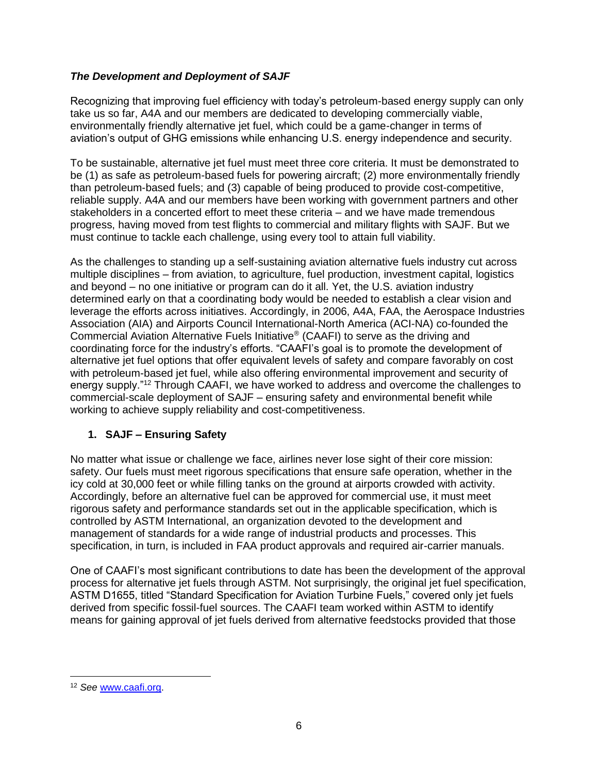### *The Development and Deployment of SAJF*

Recognizing that improving fuel efficiency with today's petroleum-based energy supply can only take us so far, A4A and our members are dedicated to developing commercially viable, environmentally friendly alternative jet fuel, which could be a game-changer in terms of aviation's output of GHG emissions while enhancing U.S. energy independence and security.

To be sustainable, alternative jet fuel must meet three core criteria. It must be demonstrated to be (1) as safe as petroleum-based fuels for powering aircraft; (2) more environmentally friendly than petroleum-based fuels; and (3) capable of being produced to provide cost-competitive, reliable supply. A4A and our members have been working with government partners and other stakeholders in a concerted effort to meet these criteria – and we have made tremendous progress, having moved from test flights to commercial and military flights with SAJF. But we must continue to tackle each challenge, using every tool to attain full viability.

As the challenges to standing up a self-sustaining aviation alternative fuels industry cut across multiple disciplines – from aviation, to agriculture, fuel production, investment capital, logistics and beyond – no one initiative or program can do it all. Yet, the U.S. aviation industry determined early on that a coordinating body would be needed to establish a clear vision and leverage the efforts across initiatives. Accordingly, in 2006, A4A, FAA, the Aerospace Industries Association (AIA) and Airports Council International-North America (ACI-NA) co-founded the Commercial Aviation Alternative Fuels Initiative® (CAAFI) to serve as the driving and coordinating force for the industry's efforts. "CAAFI's goal is to promote the development of alternative jet fuel options that offer equivalent levels of safety and compare favorably on cost with petroleum-based jet fuel, while also offering environmental improvement and security of energy supply."<sup>12</sup> Through CAAFI, we have worked to address and overcome the challenges to commercial-scale deployment of SAJF – ensuring safety and environmental benefit while working to achieve supply reliability and cost-competitiveness.

## **1. SAJF – Ensuring Safety**

No matter what issue or challenge we face, airlines never lose sight of their core mission: safety. Our fuels must meet rigorous specifications that ensure safe operation, whether in the icy cold at 30,000 feet or while filling tanks on the ground at airports crowded with activity. Accordingly, before an alternative fuel can be approved for commercial use, it must meet rigorous safety and performance standards set out in the applicable specification, which is controlled by ASTM International, an organization devoted to the development and management of standards for a wide range of industrial products and processes. This specification, in turn, is included in FAA product approvals and required air-carrier manuals.

One of CAAFI's most significant contributions to date has been the development of the approval process for alternative jet fuels through ASTM. Not surprisingly, the original jet fuel specification, ASTM D1655, titled "Standard Specification for Aviation Turbine Fuels," covered only jet fuels derived from specific fossil-fuel sources. The CAAFI team worked within ASTM to identify means for gaining approval of jet fuels derived from alternative feedstocks provided that those

l

<sup>12</sup> *See* [www.caafi.org.](http://www.caafi.org/)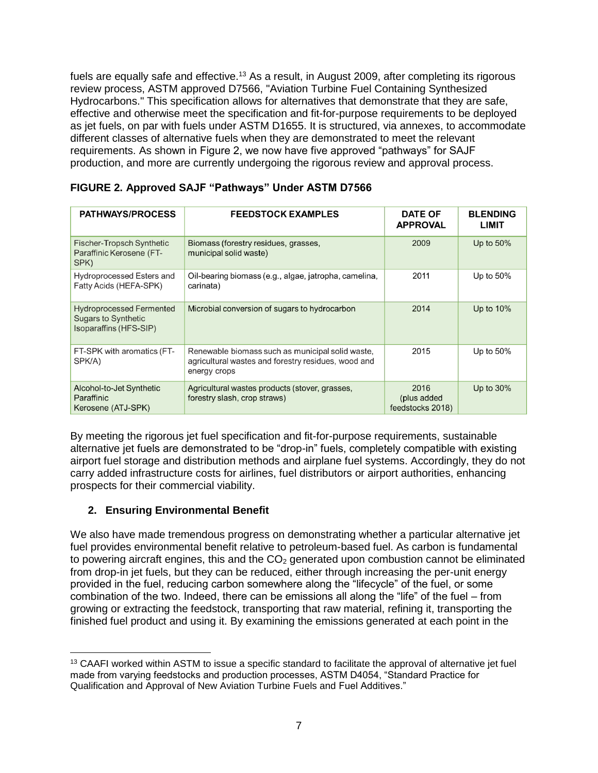fuels are equally safe and effective.<sup>13</sup> As a result, in August 2009, after completing its rigorous review process, ASTM approved D7566, "Aviation Turbine Fuel Containing Synthesized Hydrocarbons." This specification allows for alternatives that demonstrate that they are safe, effective and otherwise meet the specification and fit-for-purpose requirements to be deployed as jet fuels, on par with fuels under ASTM D1655. It is structured, via annexes, to accommodate different classes of alternative fuels when they are demonstrated to meet the relevant requirements. As shown in Figure 2, we now have five approved "pathways" for SAJF production, and more are currently undergoing the rigorous review and approval process.

| <b>PATHWAYS/PROCESS</b>                                                                 | <b>FEEDSTOCK EXAMPLES</b>                                                                                               | <b>DATE OF</b><br><b>APPROVAL</b>        | <b>BLENDING</b><br><b>LIMIT</b> |
|-----------------------------------------------------------------------------------------|-------------------------------------------------------------------------------------------------------------------------|------------------------------------------|---------------------------------|
| Fischer-Tropsch Synthetic<br>Paraffinic Kerosene (FT-<br>SPK)                           | Biomass (forestry residues, grasses,<br>municipal solid waste)                                                          | 2009                                     | Up to $50\%$                    |
| <b>Hydroprocessed Esters and</b><br>Fatty Acids (HEFA-SPK)                              | Oil-bearing biomass (e.g., algae, jatropha, camelina,<br>carinata)                                                      | 2011                                     | Up to $50\%$                    |
| <b>Hydroprocessed Fermented</b><br><b>Sugars to Synthetic</b><br>Isoparaffins (HFS-SIP) | Microbial conversion of sugars to hydrocarbon                                                                           | 2014                                     | Up to $10\%$                    |
| FT-SPK with aromatics (FT-<br>SPK/A)                                                    | Renewable biomass such as municipal solid waste,<br>agricultural wastes and forestry residues, wood and<br>energy crops | 2015                                     | Up to $50\%$                    |
| Alcohol-to-Jet Synthetic<br>Paraffinic<br>Kerosene (ATJ-SPK)                            | Agricultural wastes products (stover, grasses,<br>forestry slash, crop straws)                                          | 2016<br>(plus added)<br>feedstocks 2018) | Up to $30\%$                    |

### **FIGURE 2. Approved SAJF "Pathways" Under ASTM D7566**

By meeting the rigorous jet fuel specification and fit-for-purpose requirements, sustainable alternative jet fuels are demonstrated to be "drop-in" fuels, completely compatible with existing airport fuel storage and distribution methods and airplane fuel systems. Accordingly, they do not carry added infrastructure costs for airlines, fuel distributors or airport authorities, enhancing prospects for their commercial viability.

## **2. Ensuring Environmental Benefit**

We also have made tremendous progress on demonstrating whether a particular alternative jet fuel provides environmental benefit relative to petroleum-based fuel. As carbon is fundamental to powering aircraft engines, this and the  $CO<sub>2</sub>$  generated upon combustion cannot be eliminated from drop-in jet fuels, but they can be reduced, either through increasing the per-unit energy provided in the fuel, reducing carbon somewhere along the "lifecycle" of the fuel, or some combination of the two. Indeed, there can be emissions all along the "life" of the fuel – from growing or extracting the feedstock, transporting that raw material, refining it, transporting the finished fuel product and using it. By examining the emissions generated at each point in the

 $\overline{a}$ <sup>13</sup> CAAFI worked within ASTM to issue a specific standard to facilitate the approval of alternative jet fuel made from varying feedstocks and production processes, ASTM D4054, "Standard Practice for Qualification and Approval of New Aviation Turbine Fuels and Fuel Additives."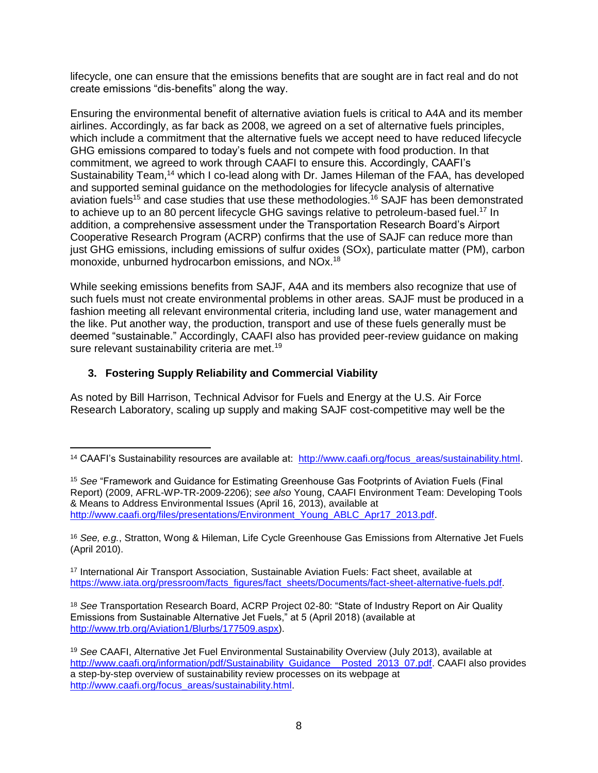lifecycle, one can ensure that the emissions benefits that are sought are in fact real and do not create emissions "dis-benefits" along the way.

Ensuring the environmental benefit of alternative aviation fuels is critical to A4A and its member airlines. Accordingly, as far back as 2008, we agreed on a set of alternative fuels principles, which include a commitment that the alternative fuels we accept need to have reduced lifecycle GHG emissions compared to today's fuels and not compete with food production. In that commitment, we agreed to work through CAAFI to ensure this. Accordingly, CAAFI's Sustainability Team,<sup>14</sup> which I co-lead along with Dr. James Hileman of the FAA, has developed and supported seminal guidance on the methodologies for lifecycle analysis of alternative aviation fuels<sup>15</sup> and case studies that use these methodologies.<sup>16</sup> SAJF has been demonstrated to achieve up to an 80 percent lifecycle GHG savings relative to petroleum-based fuel.<sup>17</sup> In addition, a comprehensive assessment under the Transportation Research Board's Airport Cooperative Research Program (ACRP) confirms that the use of SAJF can reduce more than just GHG emissions, including emissions of sulfur oxides (SOx), particulate matter (PM), carbon monoxide, unburned hydrocarbon emissions, and NOx.<sup>18</sup>

While seeking emissions benefits from SAJF, A4A and its members also recognize that use of such fuels must not create environmental problems in other areas. SAJF must be produced in a fashion meeting all relevant environmental criteria, including land use, water management and the like. Put another way, the production, transport and use of these fuels generally must be deemed "sustainable." Accordingly, CAAFI also has provided peer-review guidance on making sure relevant sustainability criteria are met.<sup>19</sup>

## **3. Fostering Supply Reliability and Commercial Viability**

As noted by Bill Harrison, Technical Advisor for Fuels and Energy at the U.S. Air Force Research Laboratory, scaling up supply and making SAJF cost-competitive may well be the

<sup>17</sup> International Air Transport Association, Sustainable Aviation Fuels: Fact sheet, available at [https://www.iata.org/pressroom/facts\\_figures/fact\\_sheets/Documents/fact-sheet-alternative-fuels.pdf.](https://www.iata.org/pressroom/facts_figures/fact_sheets/Documents/fact-sheet-alternative-fuels.pdf)

<sup>18</sup> *See* Transportation Research Board, ACRP Project 02-80: "State of Industry Report on Air Quality Emissions from Sustainable Alternative Jet Fuels," at 5 (April 2018) (available at [http://www.trb.org/Aviation1/Blurbs/177509.aspx\)](http://www.trb.org/Aviation1/Blurbs/177509.aspx).

l <sup>14</sup> CAAFI's Sustainability resources are available at: [http://www.caafi.org/focus\\_areas/sustainability.html.](http://www.caafi.org/focus_areas/sustainability.html)

<sup>15</sup> *See* "Framework and Guidance for Estimating Greenhouse Gas Footprints of Aviation Fuels (Final Report) (2009, AFRL-WP-TR-2009-2206); *see also* Young, CAAFI Environment Team: Developing Tools & Means to Address Environmental Issues (April 16, 2013), available at [http://www.caafi.org/files/presentations/Environment\\_Young\\_ABLC\\_Apr17\\_2013.pdf.](http://www.caafi.org/files/presentations/Environment_Young_ABLC_Apr17_2013.pdf)

<sup>16</sup> *See, e.g.*, Stratton, Wong & Hileman, Life Cycle Greenhouse Gas Emissions from Alternative Jet Fuels (April 2010).

<sup>19</sup> *See* CAAFI, Alternative Jet Fuel Environmental Sustainability Overview (July 2013), available at [http://www.caafi.org/information/pdf/Sustainability\\_Guidance\\_\\_Posted\\_2013\\_07.pdf.](http://www.caafi.org/information/pdf/Sustainability_Guidance__Posted_2013_07.pdf) CAAFI also provides a step-by-step overview of sustainability review processes on its webpage at [http://www.caafi.org/focus\\_areas/sustainability.html.](http://www.caafi.org/focus_areas/sustainability.html)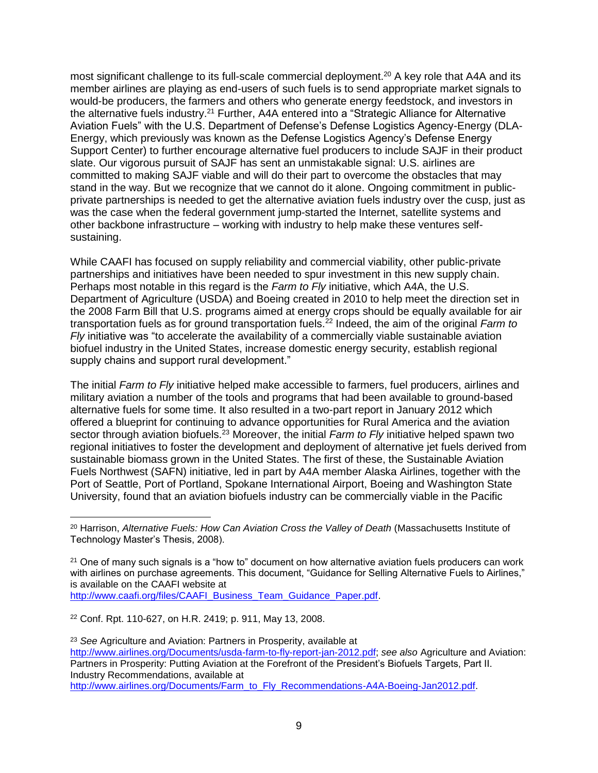most significant challenge to its full-scale commercial deployment.<sup>20</sup> A key role that A4A and its member airlines are playing as end-users of such fuels is to send appropriate market signals to would-be producers, the farmers and others who generate energy feedstock, and investors in the alternative fuels industry.<sup>21</sup> Further, A4A entered into a "Strategic Alliance for Alternative Aviation Fuels" with the U.S. Department of Defense's Defense Logistics Agency-Energy (DLA-Energy, which previously was known as the Defense Logistics Agency's Defense Energy Support Center) to further encourage alternative fuel producers to include SAJF in their product slate. Our vigorous pursuit of SAJF has sent an unmistakable signal: U.S. airlines are committed to making SAJF viable and will do their part to overcome the obstacles that may stand in the way. But we recognize that we cannot do it alone. Ongoing commitment in publicprivate partnerships is needed to get the alternative aviation fuels industry over the cusp, just as was the case when the federal government jump-started the Internet, satellite systems and other backbone infrastructure – working with industry to help make these ventures selfsustaining.

While CAAFI has focused on supply reliability and commercial viability, other public-private partnerships and initiatives have been needed to spur investment in this new supply chain. Perhaps most notable in this regard is the *Farm to Fly* initiative, which A4A, the U.S. Department of Agriculture (USDA) and Boeing created in 2010 to help meet the direction set in the 2008 Farm Bill that U.S. programs aimed at energy crops should be equally available for air transportation fuels as for ground transportation fuels.<sup>22</sup> Indeed, the aim of the original *Farm to Fly* initiative was "to accelerate the availability of a commercially viable sustainable aviation biofuel industry in the United States, increase domestic energy security, establish regional supply chains and support rural development."

The initial *Farm to Fly* initiative helped make accessible to farmers, fuel producers, airlines and military aviation a number of the tools and programs that had been available to ground-based alternative fuels for some time. It also resulted in a two-part report in January 2012 which offered a blueprint for continuing to advance opportunities for Rural America and the aviation sector through aviation biofuels.<sup>23</sup> Moreover, the initial *Farm to Fly* initiative helped spawn two regional initiatives to foster the development and deployment of alternative jet fuels derived from sustainable biomass grown in the United States. The first of these, the Sustainable Aviation Fuels Northwest (SAFN) initiative, led in part by A4A member Alaska Airlines, together with the Port of Seattle, Port of Portland, Spokane International Airport, Boeing and Washington State University, found that an aviation biofuels industry can be commercially viable in the Pacific

<sup>22</sup> Conf. Rpt. 110-627, on H.R. 2419; p. 911, May 13, 2008.

 $\overline{a}$ 

<sup>23</sup> *See* Agriculture and Aviation: Partners in Prosperity, available at [http://www.airlines.org/Documents/usda-farm-to-fly-report-jan-2012.pdf;](http://www.airlines.org/Documents/usda-farm-to-fly-report-jan-2012.pdf) *see also* Agriculture and Aviation: Partners in Prosperity: Putting Aviation at the Forefront of the President's Biofuels Targets, Part II. Industry Recommendations, available at [http://www.airlines.org/Documents/Farm\\_to\\_Fly\\_Recommendations-A4A-Boeing-Jan2012.pdf.](http://www.airlines.org/Documents/Farm_to_Fly_Recommendations-A4A-Boeing-Jan2012.pdf)

<sup>20</sup> Harrison, *Alternative Fuels: How Can Aviation Cross the Valley of Death* (Massachusetts Institute of Technology Master's Thesis, 2008).

 $21$  One of many such signals is a "how to" document on how alternative aviation fuels producers can work with airlines on purchase agreements. This document, "Guidance for Selling Alternative Fuels to Airlines," is available on the CAAFI website at [http://www.caafi.org/files/CAAFI\\_Business\\_Team\\_Guidance\\_Paper.pdf.](http://www.caafi.org/files/CAAFI_Business_Team_Guidance_Paper.pdf)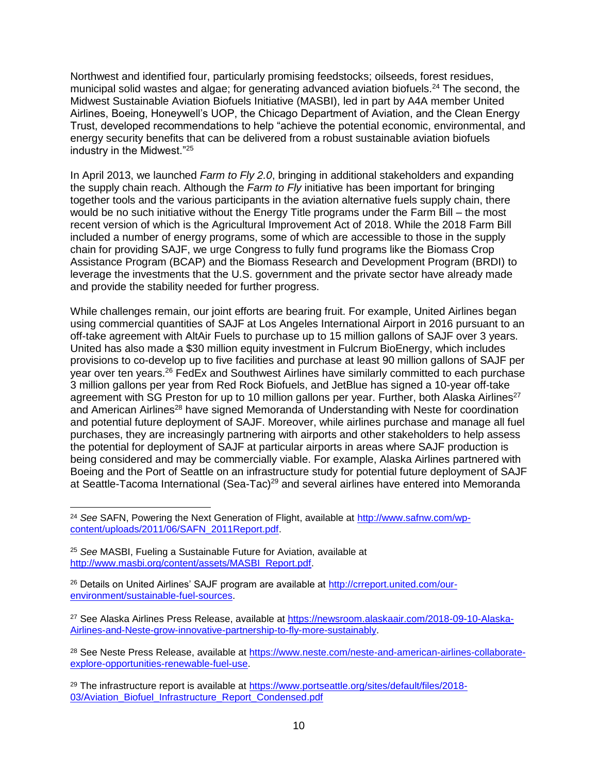Northwest and identified four, particularly promising feedstocks; oilseeds, forest residues, municipal solid wastes and algae; for generating advanced aviation biofuels.<sup>24</sup> The second, the Midwest Sustainable Aviation Biofuels Initiative (MASBI), led in part by A4A member United Airlines, Boeing, Honeywell's UOP, the Chicago Department of Aviation, and the Clean Energy Trust, developed recommendations to help "achieve the potential economic, environmental, and energy security benefits that can be delivered from a robust sustainable aviation biofuels industry in the Midwest."<sup>25</sup>

In April 2013, we launched *Farm to Fly 2.0*, bringing in additional stakeholders and expanding the supply chain reach. Although the *Farm to Fly* initiative has been important for bringing together tools and the various participants in the aviation alternative fuels supply chain, there would be no such initiative without the Energy Title programs under the Farm Bill – the most recent version of which is the Agricultural Improvement Act of 2018. While the 2018 Farm Bill included a number of energy programs, some of which are accessible to those in the supply chain for providing SAJF, we urge Congress to fully fund programs like the Biomass Crop Assistance Program (BCAP) and the Biomass Research and Development Program (BRDI) to leverage the investments that the U.S. government and the private sector have already made and provide the stability needed for further progress.

While challenges remain, our joint efforts are bearing fruit. For example, United Airlines began using commercial quantities of SAJF at Los Angeles International Airport in 2016 pursuant to an off-take agreement with AltAir Fuels to purchase up to 15 million gallons of SAJF over 3 years. United has also made a \$30 million equity investment in Fulcrum BioEnergy, which includes provisions to co-develop up to five facilities and purchase at least 90 million gallons of SAJF per year over ten years.<sup>26</sup> FedEx and Southwest Airlines have similarly committed to each purchase 3 million gallons per year from Red Rock Biofuels, and JetBlue has signed a 10-year off-take agreement with SG Preston for up to 10 million gallons per year. Further, both Alaska Airlines<sup>27</sup> and American Airlines<sup>28</sup> have signed Memoranda of Understanding with Neste for coordination and potential future deployment of SAJF. Moreover, while airlines purchase and manage all fuel purchases, they are increasingly partnering with airports and other stakeholders to help assess the potential for deployment of SAJF at particular airports in areas where SAJF production is being considered and may be commercially viable. For example, Alaska Airlines partnered with Boeing and the Port of Seattle on an infrastructure study for potential future deployment of SAJF at Seattle-Tacoma International (Sea-Tac)<sup>29</sup> and several airlines have entered into Memoranda

 $\overline{\phantom{a}}$ <sup>24</sup> *See* SAFN, Powering the Next Generation of Flight, available at [http://www.safnw.com/wp](http://www.safnw.com/wp-content/uploads/2011/06/SAFN_2011Report.pdf)[content/uploads/2011/06/SAFN\\_2011Report.pdf.](http://www.safnw.com/wp-content/uploads/2011/06/SAFN_2011Report.pdf)

<sup>25</sup> *See* MASBI, Fueling a Sustainable Future for Aviation, available at [http://www.masbi.org/content/assets/MASBI\\_Report.pdf.](http://www.masbi.org/content/assets/MASBI_Report.pdf)

<sup>26</sup> Details on United Airlines' SAJF program are available at [http://crreport.united.com/our](http://crreport.united.com/our-environment/sustainable-fuel-sources)[environment/sustainable-fuel-sources.](http://crreport.united.com/our-environment/sustainable-fuel-sources)

<sup>27</sup> See Alaska Airlines Press Release, available at [https://newsroom.alaskaair.com/2018-09-10-Alaska-](https://newsroom.alaskaair.com/2018-09-10-Alaska-Airlines-and-Neste-grow-innovative-partnership-to-fly-more-sustainably)[Airlines-and-Neste-grow-innovative-partnership-to-fly-more-sustainably.](https://newsroom.alaskaair.com/2018-09-10-Alaska-Airlines-and-Neste-grow-innovative-partnership-to-fly-more-sustainably)

<sup>&</sup>lt;sup>28</sup> See Neste Press Release, available at [https://www.neste.com/neste-and-american-airlines-collaborate](https://www.neste.com/neste-and-american-airlines-collaborate-explore-opportunities-renewable-fuel-use)[explore-opportunities-renewable-fuel-use.](https://www.neste.com/neste-and-american-airlines-collaborate-explore-opportunities-renewable-fuel-use)

<sup>&</sup>lt;sup>29</sup> The infrastructure report is available at [https://www.portseattle.org/sites/default/files/2018-](https://www.portseattle.org/sites/default/files/2018-03/Aviation_Biofuel_Infrastructure_Report_Condensed.pdf) [03/Aviation\\_Biofuel\\_Infrastructure\\_Report\\_Condensed.pdf](https://www.portseattle.org/sites/default/files/2018-03/Aviation_Biofuel_Infrastructure_Report_Condensed.pdf)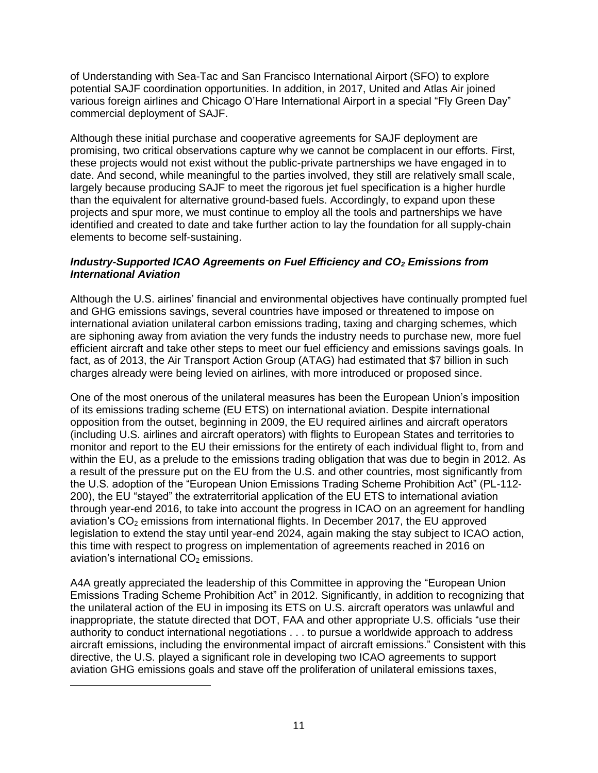of Understanding with Sea-Tac and San Francisco International Airport (SFO) to explore potential SAJF coordination opportunities. In addition, in 2017, United and Atlas Air joined various foreign airlines and Chicago O'Hare International Airport in a special "Fly Green Day" commercial deployment of SAJF.

Although these initial purchase and cooperative agreements for SAJF deployment are promising, two critical observations capture why we cannot be complacent in our efforts. First, these projects would not exist without the public-private partnerships we have engaged in to date. And second, while meaningful to the parties involved, they still are relatively small scale, largely because producing SAJF to meet the rigorous jet fuel specification is a higher hurdle than the equivalent for alternative ground-based fuels. Accordingly, to expand upon these projects and spur more, we must continue to employ all the tools and partnerships we have identified and created to date and take further action to lay the foundation for all supply-chain elements to become self-sustaining.

#### *Industry-Supported ICAO Agreements on Fuel Efficiency and CO<sup>2</sup> Emissions from International Aviation*

Although the U.S. airlines' financial and environmental objectives have continually prompted fuel and GHG emissions savings, several countries have imposed or threatened to impose on international aviation unilateral carbon emissions trading, taxing and charging schemes, which are siphoning away from aviation the very funds the industry needs to purchase new, more fuel efficient aircraft and take other steps to meet our fuel efficiency and emissions savings goals. In fact, as of 2013, the Air Transport Action Group (ATAG) had estimated that \$7 billion in such charges already were being levied on airlines, with more introduced or proposed since.

One of the most onerous of the unilateral measures has been the European Union's imposition of its emissions trading scheme (EU ETS) on international aviation. Despite international opposition from the outset, beginning in 2009, the EU required airlines and aircraft operators (including U.S. airlines and aircraft operators) with flights to European States and territories to monitor and report to the EU their emissions for the entirety of each individual flight to, from and within the EU, as a prelude to the emissions trading obligation that was due to begin in 2012. As a result of the pressure put on the EU from the U.S. and other countries, most significantly from the U.S. adoption of the "European Union Emissions Trading Scheme Prohibition Act" (PL-112- 200), the EU "stayed" the extraterritorial application of the EU ETS to international aviation through year-end 2016, to take into account the progress in ICAO on an agreement for handling aviation's  $CO<sub>2</sub>$  emissions from international flights. In December 2017, the EU approved legislation to extend the stay until year-end 2024, again making the stay subject to ICAO action, this time with respect to progress on implementation of agreements reached in 2016 on aviation's international  $CO<sub>2</sub>$  emissions.

A4A greatly appreciated the leadership of this Committee in approving the "European Union Emissions Trading Scheme Prohibition Act" in 2012. Significantly, in addition to recognizing that the unilateral action of the EU in imposing its ETS on U.S. aircraft operators was unlawful and inappropriate, the statute directed that DOT, FAA and other appropriate U.S. officials "use their authority to conduct international negotiations . . . to pursue a worldwide approach to address aircraft emissions, including the environmental impact of aircraft emissions." Consistent with this directive, the U.S. played a significant role in developing two ICAO agreements to support aviation GHG emissions goals and stave off the proliferation of unilateral emissions taxes,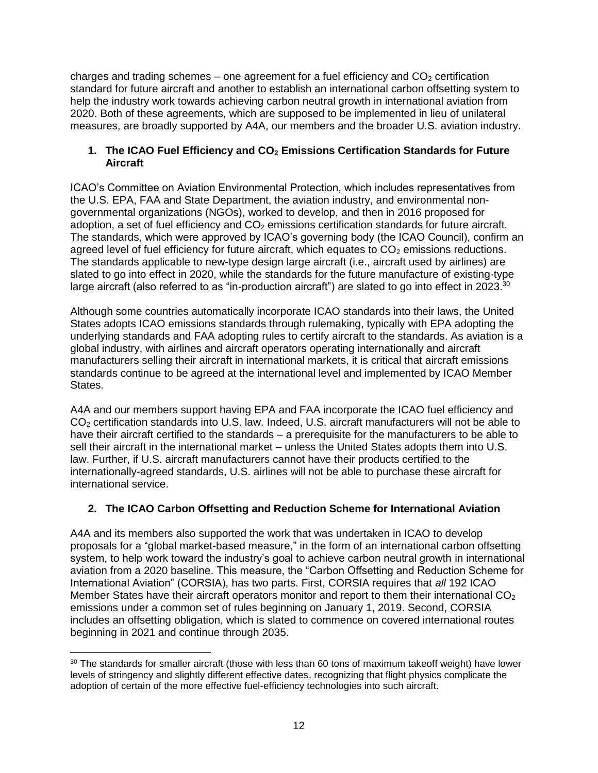charges and trading schemes – one agreement for a fuel efficiency and  $CO<sub>2</sub>$  certification standard for future aircraft and another to establish an international carbon offsetting system to help the industry work towards achieving carbon neutral growth in international aviation from 2020. Both of these agreements, which are supposed to be implemented in lieu of unilateral measures, are broadly supported by A4A, our members and the broader U.S. aviation industry.

#### **1. The ICAO Fuel Efficiency and CO<sup>2</sup> Emissions Certification Standards for Future Aircraft**

ICAO's Committee on Aviation Environmental Protection, which includes representatives from the U.S. EPA, FAA and State Department, the aviation industry, and environmental nongovernmental organizations (NGOs), worked to develop, and then in 2016 proposed for adoption, a set of fuel efficiency and  $CO<sub>2</sub>$  emissions certification standards for future aircraft. The standards, which were approved by ICAO's governing body (the ICAO Council), confirm an agreed level of fuel efficiency for future aircraft, which equates to  $CO<sub>2</sub>$  emissions reductions. The standards applicable to new-type design large aircraft (i.e., aircraft used by airlines) are slated to go into effect in 2020, while the standards for the future manufacture of existing-type large aircraft (also referred to as "in-production aircraft") are slated to go into effect in 2023. $^{30}$ 

Although some countries automatically incorporate ICAO standards into their laws, the United States adopts ICAO emissions standards through rulemaking, typically with EPA adopting the underlying standards and FAA adopting rules to certify aircraft to the standards. As aviation is a global industry, with airlines and aircraft operators operating internationally and aircraft manufacturers selling their aircraft in international markets, it is critical that aircraft emissions standards continue to be agreed at the international level and implemented by ICAO Member States.

A4A and our members support having EPA and FAA incorporate the ICAO fuel efficiency and CO<sup>2</sup> certification standards into U.S. law. Indeed, U.S. aircraft manufacturers will not be able to have their aircraft certified to the standards – a prerequisite for the manufacturers to be able to sell their aircraft in the international market – unless the United States adopts them into U.S. law. Further, if U.S. aircraft manufacturers cannot have their products certified to the internationally-agreed standards, U.S. airlines will not be able to purchase these aircraft for international service.

## **2. The ICAO Carbon Offsetting and Reduction Scheme for International Aviation**

A4A and its members also supported the work that was undertaken in ICAO to develop proposals for a "global market-based measure," in the form of an international carbon offsetting system, to help work toward the industry's goal to achieve carbon neutral growth in international aviation from a 2020 baseline. This measure, the "Carbon Offsetting and Reduction Scheme for International Aviation" (CORSIA), has two parts. First, CORSIA requires that *all* 192 ICAO Member States have their aircraft operators monitor and report to them their international  $CO<sub>2</sub>$ emissions under a common set of rules beginning on January 1, 2019. Second, CORSIA includes an offsetting obligation, which is slated to commence on covered international routes beginning in 2021 and continue through 2035.

 $\overline{a}$ <sup>30</sup> The standards for smaller aircraft (those with less than 60 tons of maximum takeoff weight) have lower levels of stringency and slightly different effective dates, recognizing that flight physics complicate the adoption of certain of the more effective fuel-efficiency technologies into such aircraft.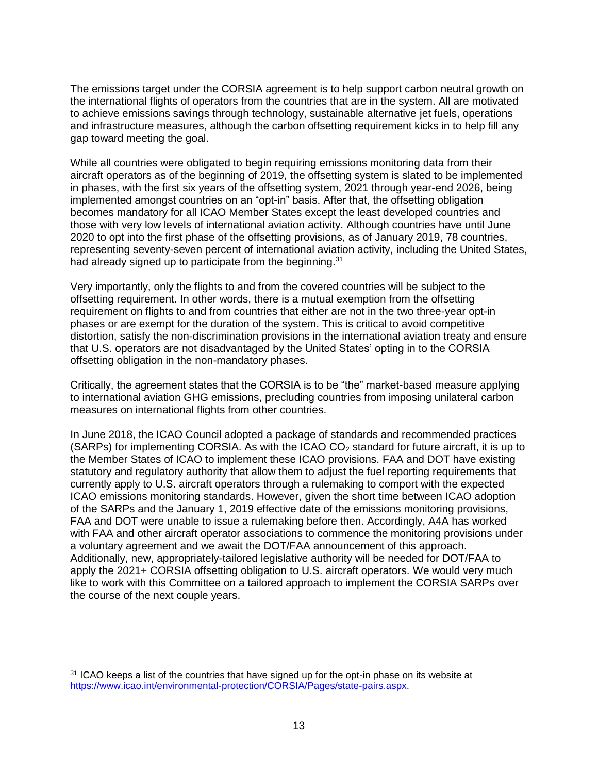The emissions target under the CORSIA agreement is to help support carbon neutral growth on the international flights of operators from the countries that are in the system. All are motivated to achieve emissions savings through technology, sustainable alternative jet fuels, operations and infrastructure measures, although the carbon offsetting requirement kicks in to help fill any gap toward meeting the goal.

While all countries were obligated to begin requiring emissions monitoring data from their aircraft operators as of the beginning of 2019, the offsetting system is slated to be implemented in phases, with the first six years of the offsetting system, 2021 through year-end 2026, being implemented amongst countries on an "opt-in" basis. After that, the offsetting obligation becomes mandatory for all ICAO Member States except the least developed countries and those with very low levels of international aviation activity. Although countries have until June 2020 to opt into the first phase of the offsetting provisions, as of January 2019, 78 countries, representing seventy-seven percent of international aviation activity, including the United States, had already signed up to participate from the beginning.<sup>31</sup>

Very importantly, only the flights to and from the covered countries will be subject to the offsetting requirement. In other words, there is a mutual exemption from the offsetting requirement on flights to and from countries that either are not in the two three-year opt-in phases or are exempt for the duration of the system. This is critical to avoid competitive distortion, satisfy the non-discrimination provisions in the international aviation treaty and ensure that U.S. operators are not disadvantaged by the United States' opting in to the CORSIA offsetting obligation in the non-mandatory phases.

Critically, the agreement states that the CORSIA is to be "the" market-based measure applying to international aviation GHG emissions, precluding countries from imposing unilateral carbon measures on international flights from other countries.

In June 2018, the ICAO Council adopted a package of standards and recommended practices (SARPs) for implementing CORSIA. As with the  $ICAO CO<sub>2</sub>$  standard for future aircraft, it is up to the Member States of ICAO to implement these ICAO provisions. FAA and DOT have existing statutory and regulatory authority that allow them to adjust the fuel reporting requirements that currently apply to U.S. aircraft operators through a rulemaking to comport with the expected ICAO emissions monitoring standards. However, given the short time between ICAO adoption of the SARPs and the January 1, 2019 effective date of the emissions monitoring provisions, FAA and DOT were unable to issue a rulemaking before then. Accordingly, A4A has worked with FAA and other aircraft operator associations to commence the monitoring provisions under a voluntary agreement and we await the DOT/FAA announcement of this approach. Additionally, new, appropriately-tailored legislative authority will be needed for DOT/FAA to apply the 2021+ CORSIA offsetting obligation to U.S. aircraft operators. We would very much like to work with this Committee on a tailored approach to implement the CORSIA SARPs over the course of the next couple years.

<sup>&</sup>lt;sup>31</sup> ICAO keeps a list of the countries that have signed up for the opt-in phase on its website at [https://www.icao.int/environmental-protection/CORSIA/Pages/state-pairs.aspx.](https://www.icao.int/environmental-protection/CORSIA/Pages/state-pairs.aspx)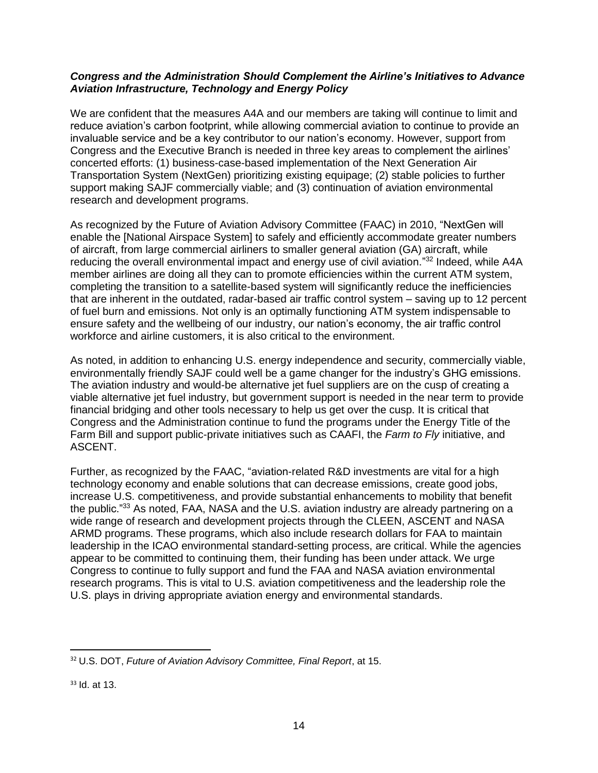#### *Congress and the Administration Should Complement the Airline's Initiatives to Advance Aviation Infrastructure, Technology and Energy Policy*

We are confident that the measures A4A and our members are taking will continue to limit and reduce aviation's carbon footprint, while allowing commercial aviation to continue to provide an invaluable service and be a key contributor to our nation's economy. However, support from Congress and the Executive Branch is needed in three key areas to complement the airlines' concerted efforts: (1) business-case-based implementation of the Next Generation Air Transportation System (NextGen) prioritizing existing equipage; (2) stable policies to further support making SAJF commercially viable; and (3) continuation of aviation environmental research and development programs.

As recognized by the Future of Aviation Advisory Committee (FAAC) in 2010, "NextGen will enable the [National Airspace System] to safely and efficiently accommodate greater numbers of aircraft, from large commercial airliners to smaller general aviation (GA) aircraft, while reducing the overall environmental impact and energy use of civil aviation."<sup>32</sup> Indeed, while A4A member airlines are doing all they can to promote efficiencies within the current ATM system, completing the transition to a satellite-based system will significantly reduce the inefficiencies that are inherent in the outdated, radar-based air traffic control system – saving up to 12 percent of fuel burn and emissions. Not only is an optimally functioning ATM system indispensable to ensure safety and the wellbeing of our industry, our nation's economy, the air traffic control workforce and airline customers, it is also critical to the environment.

As noted, in addition to enhancing U.S. energy independence and security, commercially viable, environmentally friendly SAJF could well be a game changer for the industry's GHG emissions. The aviation industry and would-be alternative jet fuel suppliers are on the cusp of creating a viable alternative jet fuel industry, but government support is needed in the near term to provide financial bridging and other tools necessary to help us get over the cusp. It is critical that Congress and the Administration continue to fund the programs under the Energy Title of the Farm Bill and support public-private initiatives such as CAAFI, the *Farm to Fly* initiative, and ASCENT.

Further, as recognized by the FAAC, "aviation-related R&D investments are vital for a high technology economy and enable solutions that can decrease emissions, create good jobs, increase U.S. competitiveness, and provide substantial enhancements to mobility that benefit the public."<sup>33</sup> As noted, FAA, NASA and the U.S. aviation industry are already partnering on a wide range of research and development projects through the CLEEN, ASCENT and NASA ARMD programs. These programs, which also include research dollars for FAA to maintain leadership in the ICAO environmental standard-setting process, are critical. While the agencies appear to be committed to continuing them, their funding has been under attack. We urge Congress to continue to fully support and fund the FAA and NASA aviation environmental research programs. This is vital to U.S. aviation competitiveness and the leadership role the U.S. plays in driving appropriate aviation energy and environmental standards.

l <sup>32</sup> U.S. DOT, *Future of Aviation Advisory Committee, Final Report*, at 15.

<sup>33</sup> Id. at 13.